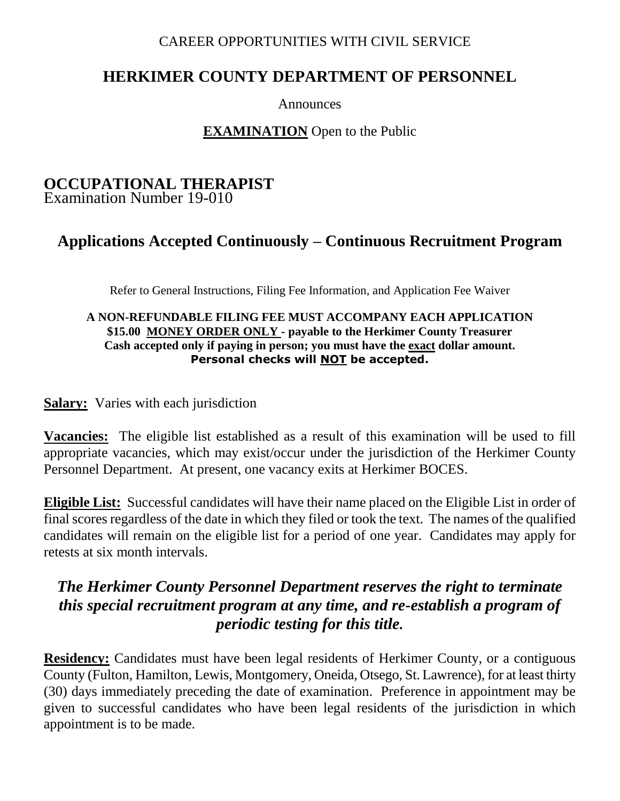#### CAREER OPPORTUNITIES WITH CIVIL SERVICE

## **HERKIMER COUNTY DEPARTMENT OF PERSONNEL**

Announces

### **EXAMINATION** Open to the Public

#### **OCCUPATIONAL THERAPIST** Examination Number 19-010

# **Applications Accepted Continuously – Continuous Recruitment Program**

Refer to General Instructions, Filing Fee Information, and Application Fee Waiver

#### **A NON-REFUNDABLE FILING FEE MUST ACCOMPANY EACH APPLICATION \$15.00 MONEY ORDER ONLY - payable to the Herkimer County Treasurer Cash accepted only if paying in person; you must have the exact dollar amount. Personal checks will NOT be accepted.**

#### **Salary:** Varies with each jurisdiction

**Vacancies:** The eligible list established as a result of this examination will be used to fill appropriate vacancies, which may exist/occur under the jurisdiction of the Herkimer County Personnel Department. At present, one vacancy exits at Herkimer BOCES.

**Eligible List:** Successful candidates will have their name placed on the Eligible List in order of final scores regardless of the date in which they filed or took the text. The names of the qualified candidates will remain on the eligible list for a period of one year. Candidates may apply for retests at six month intervals.

# *The Herkimer County Personnel Department reserves the right to terminate this special recruitment program at any time, and re-establish a program of periodic testing for this title.*

**Residency:** Candidates must have been legal residents of Herkimer County, or a contiguous County (Fulton, Hamilton, Lewis, Montgomery, Oneida, Otsego, St. Lawrence), for at least thirty (30) days immediately preceding the date of examination. Preference in appointment may be given to successful candidates who have been legal residents of the jurisdiction in which appointment is to be made.